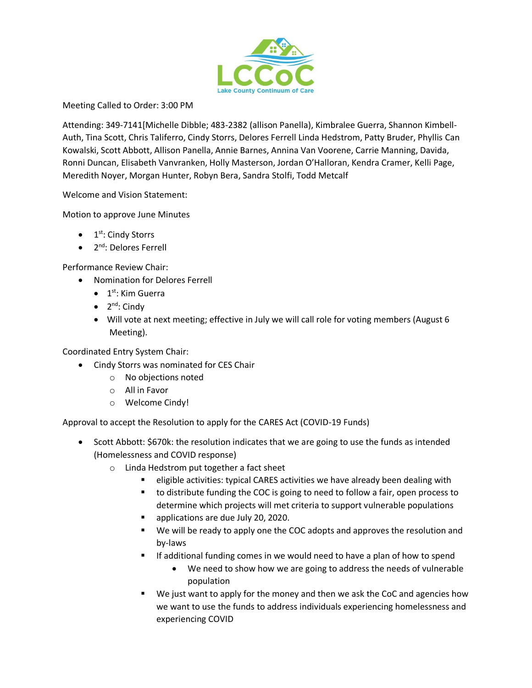

Meeting Called to Order: 3:00 PM

Attending: 349-7141[Michelle Dibble; 483-2382 (allison Panella), Kimbralee Guerra, Shannon Kimbell-Auth, Tina Scott, Chris Taliferro, Cindy Storrs, Delores Ferrell Linda Hedstrom, Patty Bruder, Phyllis Can Kowalski, Scott Abbott, Allison Panella, Annie Barnes, Annina Van Voorene, Carrie Manning, Davida, Ronni Duncan, Elisabeth Vanvranken, Holly Masterson, Jordan O'Halloran, Kendra Cramer, Kelli Page, Meredith Noyer, Morgan Hunter, Robyn Bera, Sandra Stolfi, Todd Metcalf

Welcome and Vision Statement:

Motion to approve June Minutes

- $\bullet$  1<sup>st</sup>: Cindy Storrs
- 2<sup>nd</sup>: Delores Ferrell

Performance Review Chair:

- Nomination for Delores Ferrell
	- $\bullet$  1<sup>st</sup>: Kim Guerra
	- $\bullet$  2<sup>nd</sup>: Cindy
	- Will vote at next meeting; effective in July we will call role for voting members (August 6 Meeting).

Coordinated Entry System Chair:

- Cindy Storrs was nominated for CES Chair
	- o No objections noted
	- o All in Favor
	- o Welcome Cindy!

Approval to accept the Resolution to apply for the CARES Act (COVID-19 Funds)

- Scott Abbott: \$670k: the resolution indicates that we are going to use the funds as intended (Homelessness and COVID response)
	- o Linda Hedstrom put together a fact sheet
		- eligible activities: typical CARES activities we have already been dealing with
		- to distribute funding the COC is going to need to follow a fair, open process to determine which projects will met criteria to support vulnerable populations
		- **applications are due July 20, 2020.**
		- We will be ready to apply one the COC adopts and approves the resolution and by-laws
		- **If additional funding comes in we would need to have a plan of how to spend** 
			- We need to show how we are going to address the needs of vulnerable population
		- We just want to apply for the money and then we ask the CoC and agencies how we want to use the funds to address individuals experiencing homelessness and experiencing COVID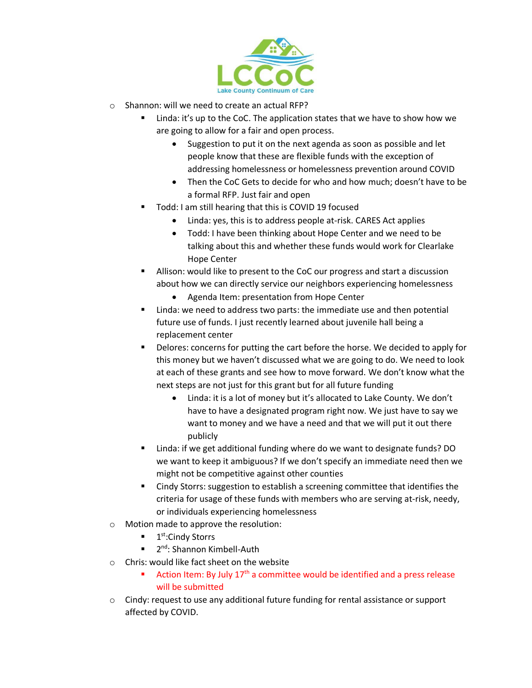

- o Shannon: will we need to create an actual RFP?
	- Linda: it's up to the CoC. The application states that we have to show how we are going to allow for a fair and open process.
		- Suggestion to put it on the next agenda as soon as possible and let people know that these are flexible funds with the exception of addressing homelessness or homelessness prevention around COVID
		- Then the CoC Gets to decide for who and how much; doesn't have to be a formal RFP. Just fair and open
	- Todd: I am still hearing that this is COVID 19 focused
		- Linda: yes, this is to address people at-risk. CARES Act applies
		- Todd: I have been thinking about Hope Center and we need to be talking about this and whether these funds would work for Clearlake Hope Center
	- Allison: would like to present to the CoC our progress and start a discussion about how we can directly service our neighbors experiencing homelessness
		- Agenda Item: presentation from Hope Center
	- Linda: we need to address two parts: the immediate use and then potential future use of funds. I just recently learned about juvenile hall being a replacement center
	- Delores: concerns for putting the cart before the horse. We decided to apply for this money but we haven't discussed what we are going to do. We need to look at each of these grants and see how to move forward. We don't know what the next steps are not just for this grant but for all future funding
		- Linda: it is a lot of money but it's allocated to Lake County. We don't have to have a designated program right now. We just have to say we want to money and we have a need and that we will put it out there publicly
	- Linda: if we get additional funding where do we want to designate funds? DO we want to keep it ambiguous? If we don't specify an immediate need then we might not be competitive against other counties
	- Cindy Storrs: suggestion to establish a screening committee that identifies the criteria for usage of these funds with members who are serving at-risk, needy, or individuals experiencing homelessness
- o Motion made to approve the resolution:
	- 1<sup>st</sup>:Cindy Storrs
	- 2<sup>nd</sup>: Shannon Kimbell-Auth
- o Chris: would like fact sheet on the website
	- Action Item: By July 17<sup>th</sup> a committee would be identified and a press release will be submitted
- $\circ$  Cindy: request to use any additional future funding for rental assistance or support affected by COVID.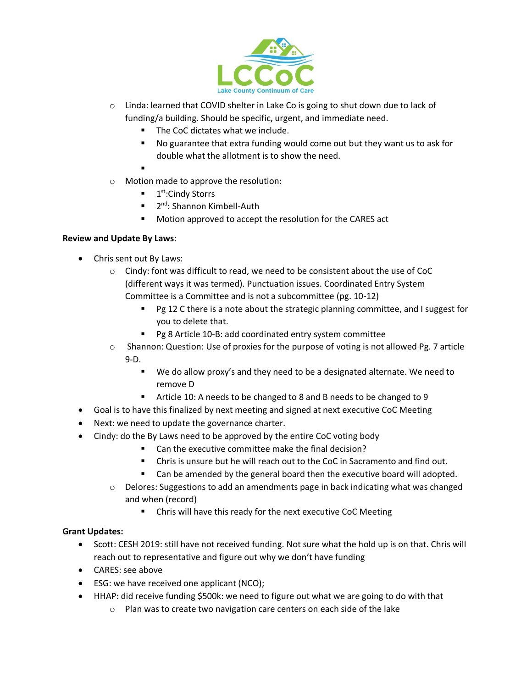

- $\circ$  Linda: learned that COVID shelter in Lake Co is going to shut down due to lack of funding/a building. Should be specific, urgent, and immediate need.
	- The CoC dictates what we include.
	- No guarantee that extra funding would come out but they want us to ask for double what the allotment is to show the need.
	- .
- o Motion made to approve the resolution:
	- $\blacksquare$  1<sup>st</sup>:Cindy Storrs
	- 2<sup>nd</sup>: Shannon Kimbell-Auth
	- Motion approved to accept the resolution for the CARES act

## **Review and Update By Laws**:

- Chris sent out By Laws:
	- o Cindy: font was difficult to read, we need to be consistent about the use of CoC (different ways it was termed). Punctuation issues. Coordinated Entry System Committee is a Committee and is not a subcommittee (pg. 10-12)
		- **Pg 12 C there is a note about the strategic planning committee, and I suggest for** you to delete that.
		- Pg 8 Article 10-B: add coordinated entry system committee
	- o Shannon: Question: Use of proxies for the purpose of voting is not allowed Pg. 7 article 9-D.
		- We do allow proxy's and they need to be a designated alternate. We need to remove D
		- Article 10: A needs to be changed to 8 and B needs to be changed to 9
- Goal is to have this finalized by next meeting and signed at next executive CoC Meeting
- Next: we need to update the governance charter.
- Cindy: do the By Laws need to be approved by the entire CoC voting body
	- Can the executive committee make the final decision?
	- Chris is unsure but he will reach out to the CoC in Sacramento and find out.
	- Can be amended by the general board then the executive board will adopted.
	- $\circ$  Delores: Suggestions to add an amendments page in back indicating what was changed and when (record)
		- Chris will have this ready for the next executive CoC Meeting

# **Grant Updates:**

- Scott: CESH 2019: still have not received funding. Not sure what the hold up is on that. Chris will reach out to representative and figure out why we don't have funding
- CARES: see above
- ESG: we have received one applicant (NCO);
- HHAP: did receive funding \$500k: we need to figure out what we are going to do with that
	- o Plan was to create two navigation care centers on each side of the lake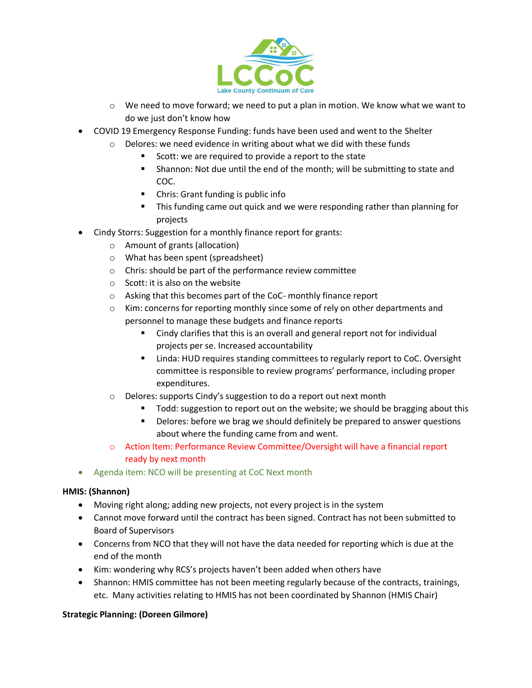

- $\circ$  We need to move forward; we need to put a plan in motion. We know what we want to do we just don't know how
- COVID 19 Emergency Response Funding: funds have been used and went to the Shelter
	- o Delores: we need evidence in writing about what we did with these funds
		- Scott: we are required to provide a report to the state
		- Shannon: Not due until the end of the month; will be submitting to state and COC.
		- Chris: Grant funding is public info
		- This funding came out quick and we were responding rather than planning for projects
- Cindy Storrs: Suggestion for a monthly finance report for grants:
	- o Amount of grants (allocation)
	- o What has been spent (spreadsheet)
	- o Chris: should be part of the performance review committee
	- o Scott: it is also on the website
	- o Asking that this becomes part of the CoC- monthly finance report
	- $\circ$  Kim: concerns for reporting monthly since some of rely on other departments and personnel to manage these budgets and finance reports
		- Cindy clarifies that this is an overall and general report not for individual projects per se. Increased accountability
		- **EXECT** Linda: HUD requires standing committees to regularly report to CoC. Oversight committee is responsible to review programs' performance, including proper expenditures.
	- o Delores: supports Cindy's suggestion to do a report out next month
		- **Todd:** suggestion to report out on the website; we should be bragging about this
		- Delores: before we brag we should definitely be prepared to answer questions about where the funding came from and went.
	- o Action Item: Performance Review Committee/Oversight will have a financial report ready by next month
- Agenda item: NCO will be presenting at CoC Next month

### **HMIS: (Shannon)**

- Moving right along; adding new projects, not every project is in the system
- Cannot move forward until the contract has been signed. Contract has not been submitted to Board of Supervisors
- Concerns from NCO that they will not have the data needed for reporting which is due at the end of the month
- Kim: wondering why RCS's projects haven't been added when others have
- Shannon: HMIS committee has not been meeting regularly because of the contracts, trainings, etc. Many activities relating to HMIS has not been coordinated by Shannon (HMIS Chair)

### **Strategic Planning: (Doreen Gilmore)**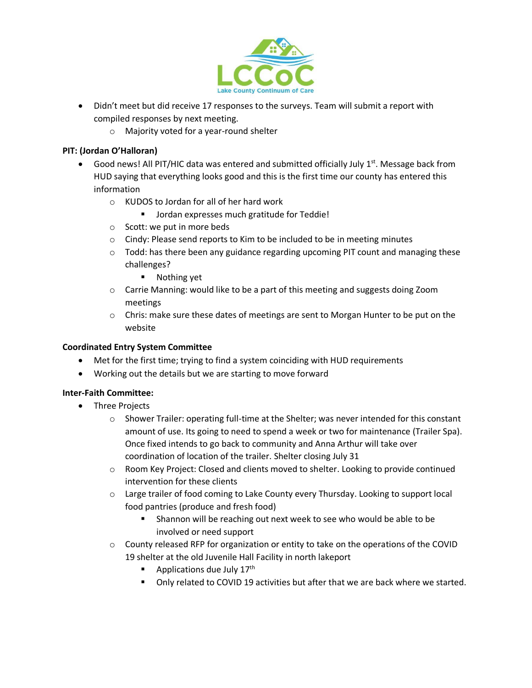

- Didn't meet but did receive 17 responses to the surveys. Team will submit a report with compiled responses by next meeting.
	- o Majority voted for a year-round shelter

# **PIT: (Jordan O'Halloran)**

- Good news! All PIT/HIC data was entered and submitted officially July  $1^{st}$ . Message back from HUD saying that everything looks good and this is the first time our county has entered this information
	- o KUDOS to Jordan for all of her hard work
		- **Jordan expresses much gratitude for Teddie!**
	- o Scott: we put in more beds
	- o Cindy: Please send reports to Kim to be included to be in meeting minutes
	- $\circ$  Todd: has there been any guidance regarding upcoming PIT count and managing these challenges?
		- **Nothing yet**
	- o Carrie Manning: would like to be a part of this meeting and suggests doing Zoom meetings
	- $\circ$  Chris: make sure these dates of meetings are sent to Morgan Hunter to be put on the website

# **Coordinated Entry System Committee**

- Met for the first time; trying to find a system coinciding with HUD requirements
- Working out the details but we are starting to move forward

# **Inter-Faith Committee:**

- Three Projects
	- o Shower Trailer: operating full-time at the Shelter; was never intended for this constant amount of use. Its going to need to spend a week or two for maintenance (Trailer Spa). Once fixed intends to go back to community and Anna Arthur will take over coordination of location of the trailer. Shelter closing July 31
	- $\circ$  Room Key Project: Closed and clients moved to shelter. Looking to provide continued intervention for these clients
	- o Large trailer of food coming to Lake County every Thursday. Looking to support local food pantries (produce and fresh food)
		- **F** Shannon will be reaching out next week to see who would be able to be involved or need support
	- o County released RFP for organization or entity to take on the operations of the COVID 19 shelter at the old Juvenile Hall Facility in north lakeport
		- Applications due July  $17<sup>th</sup>$
		- Only related to COVID 19 activities but after that we are back where we started.